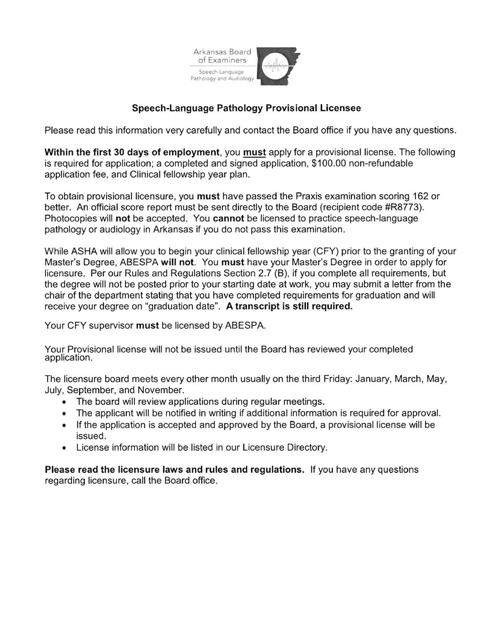

## Speech-Language Pathology Provisional Licensee

Please read this information very carefully and contact the Board office if you have any questions.

Within the first 30 days of employment, you must apply for a provisional license. The following is required for application; a completed and signed application, \$100.00 non-refundable application fee, and Clinical fellowship year plan.

To obtain provisional licensure, you must have passed the Praxis examination scoring 162 or better. An official score report must be sent directly to the Board (recipient code #R8773). Photocopies will not be accepted. You cannot be licensed to practice speech-language pathology or audiology in Arkansas if you do not pass this examination.

While ASHA will allow you to begin your clinical fellowship year (CFY) prior to the granting of your Master's Degree, ABESPA will not. You must have your Master's Degree in order to apply for licensure. Per our Rules and Regulations Section 2.7 (B), if you complete all requirements, but the degree will not be posted prior to your starting date at work, you may submit a letter from the chair of the department stating that you have completed requirements for graduation and will receive your degree on "graduation date". A transcript is still required.

Your CFY supervisor must be licensed by ABESPA.

Your Provisional license will not be issued until the Board has reviewed your completed application.

The licensure board meets every other month usually on the third Friday: January, March, May, July, September, and November.

- . The board will review applications during regular meetings.
- . The applicant will be notified in writing if additional information is required for approval.
- . lf the application is accepted and approved by the Board, a provisional license will be issued.
- . License information will be listed in our Licensure Directory.

Please read the licensure laws and rules and regulations. lf you have any questions regarding licensure, call the Board office.